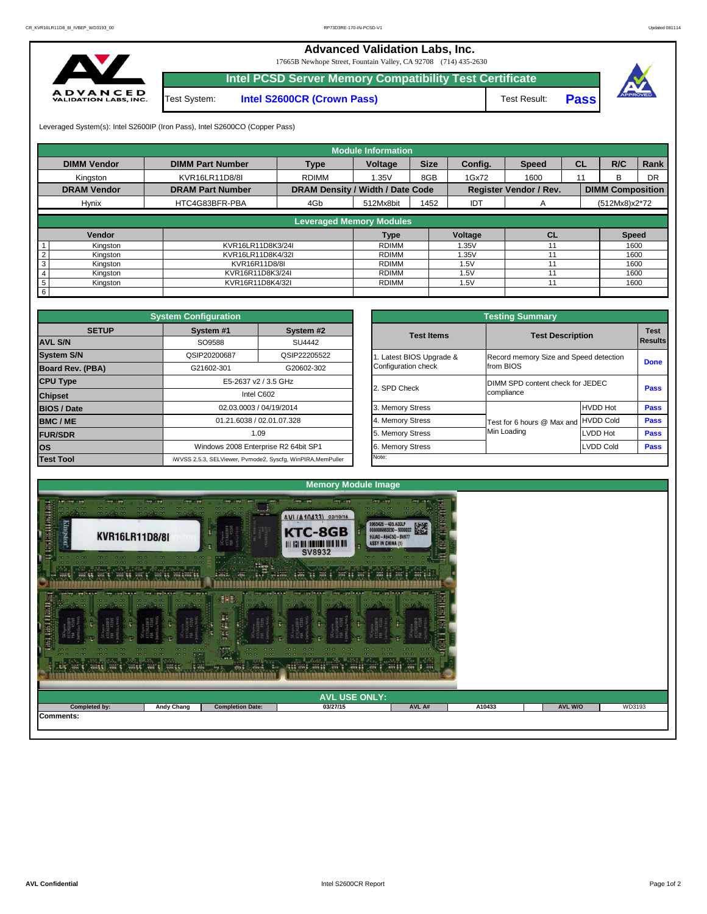

Leveraged System(s): Intel S2600IP (Iron Pass), Intel S2600CO (Copper Pass)

## **Advanced Validation Labs, Inc.**  17665B Newhope Street, Fountain Valley, CA 92708 (714) 435-2630 **Intel PCSD Server Memory Compatibility Test Certificate** A D V A N C E D<br>VALIDATION LABS, INC. Test System: **Intel S2600CR (Crown Pass)** Test Result: **Pass**



|                            |                         | <b>Module Information</b>               |                                 |                       |            |                               |           |                         |             |
|----------------------------|-------------------------|-----------------------------------------|---------------------------------|-----------------------|------------|-------------------------------|-----------|-------------------------|-------------|
| <b>DIMM Vendor</b>         | <b>DIMM Part Number</b> | <b>Type</b>                             | <b>Size</b><br>Voltage          |                       | Config.    | <b>Speed</b>                  | <b>CL</b> | R/C                     | <b>Rank</b> |
| Kingston                   | KVR16LR11D8/8I          | <b>RDIMM</b>                            |                                 | 8GB                   | 1Gx72      | 1600<br>11                    |           | B                       | <b>DR</b>   |
| <b>DRAM Vendor</b>         | <b>DRAM Part Number</b> | <b>DRAM Density / Width / Date Code</b> |                                 |                       |            | <b>Register Vendor / Rev.</b> |           | <b>DIMM Composition</b> |             |
| <b>Hynix</b>               | HTC4G83BFR-PBA          | 4G <sub>b</sub>                         | 512Mx8bit                       | 1452                  | <b>IDT</b> | A                             |           | (512Mx8)x2*72           |             |
|                            |                         |                                         | <b>Leveraged Memory Modules</b> |                       |            |                               |           |                         |             |
|                            |                         |                                         |                                 |                       |            |                               |           |                         |             |
| Vendor                     |                         |                                         | <b>Type</b>                     |                       | Voltage    | CL                            |           | <b>Speed</b>            |             |
| Kingston                   | KVR16LR11D8K3/24I       |                                         | <b>RDIMM</b>                    |                       | 1.35V      |                               |           | 1600                    |             |
| $\overline{2}$<br>Kingston |                         | KVR16LR11D8K4/32I                       |                                 | <b>RDIMM</b><br>1.35V |            | 11                            |           | 1600                    |             |
| 3<br>Kingston              |                         | KVR16R11D8/8I                           |                                 |                       | 1.5V       |                               |           | 1600                    |             |
| Kingston<br>4              | KVR16R11D8K3/24I        |                                         | <b>RDIMM</b>                    |                       | 1.5V       |                               |           | 1600                    |             |
| $5^{\circ}$<br>Kingston    | KVR16R11D8K4/32I        |                                         | RDIMM                           |                       |            | 1.5V<br>11                    |           | 1600                    |             |
| 6                          |                         |                                         |                                 |                       |            |                               |           |                         |             |

|              | <b>System Configuration</b>                                 |                                                                                                    |                       | <b>Testing Summary</b>                 |                         |             |  |  |  |
|--------------|-------------------------------------------------------------|----------------------------------------------------------------------------------------------------|-----------------------|----------------------------------------|-------------------------|-------------|--|--|--|
| <b>SETUP</b> | System #1                                                   | System #2                                                                                          | <b>Test Items</b>     |                                        |                         | <b>Test</b> |  |  |  |
|              | SO9588<br><b>SU4442</b>                                     |                                                                                                    |                       |                                        | <b>Test Description</b> |             |  |  |  |
|              | QSIP20200687                                                | QSIP22205522                                                                                       | Latest BIOS Upgrade & | Record memory Size and Speed detection |                         |             |  |  |  |
| PBA)         | G21602-301                                                  | G20602-302                                                                                         | Configuration check   | from BIOS                              |                         | <b>Done</b> |  |  |  |
|              |                                                             | E5-2637 v2 / 3.5 GHz<br>Intel C602<br>02.03.0003 / 04/19/2014<br>01.21.6038 / 02.01.07.328<br>1.09 |                       | DIMM SPD content check for JEDEC       |                         |             |  |  |  |
|              |                                                             |                                                                                                    |                       | compliance                             | <b>Pass</b>             |             |  |  |  |
|              |                                                             |                                                                                                    |                       |                                        | <b>HVDD Hot</b>         | <b>Pass</b> |  |  |  |
|              |                                                             |                                                                                                    |                       | Test for 6 hours @ Max and             | <b>HVDD Cold</b>        | <b>Pass</b> |  |  |  |
|              |                                                             |                                                                                                    |                       | Min Loading                            | LVDD Hot                | <b>Pass</b> |  |  |  |
|              | Windows 2008 Enterprise R2 64bit SP1                        |                                                                                                    | 6. Memory Stress      |                                        | LVDD Cold               | <b>Pass</b> |  |  |  |
|              | iWVSS 2.5.3, SELViewer, Pvmode2, Syscfg, WinPIRA, MemPuller |                                                                                                    | Note:                 |                                        |                         |             |  |  |  |

|                         | <b>System Configuration</b> |                                                             |  | <b>Testing Summary</b> |                                      |                                        |             |  |  |  |
|-------------------------|-----------------------------|-------------------------------------------------------------|--|------------------------|--------------------------------------|----------------------------------------|-------------|--|--|--|
| <b>SETUP</b>            | System #1                   | System #2                                                   |  | <b>Test Items</b>      | <b>Test Description</b>              |                                        | <b>Test</b> |  |  |  |
| <b>AVL S/N</b>          | <b>SU4442</b><br>SO9588     |                                                             |  |                        | Result                               |                                        |             |  |  |  |
| <b>System S/N</b>       | QSIP20200687                | QSIP22205522                                                |  | Latest BIOS Upgrade &  |                                      | Record memory Size and Speed detection |             |  |  |  |
| <b>Board Rev. (PBA)</b> | G21602-301                  | G20602-302                                                  |  | Configuration check    | from BIOS                            | <b>Done</b>                            |             |  |  |  |
| <b>CPU Type</b>         |                             | E5-2637 v2 / 3.5 GHz                                        |  |                        | DIMM SPD content check for JEDEC     | <b>Pass</b>                            |             |  |  |  |
| <b>Chipset</b>          |                             | Intel C602                                                  |  | 2. SPD Check           | compliance                           |                                        |             |  |  |  |
| <b>BIOS / Date</b>      |                             | 02.03.0003 / 04/19/2014                                     |  | 3. Memory Stress       |                                      | <b>HVDD Hot</b>                        | <b>Pass</b> |  |  |  |
| <b>BMC/ME</b>           |                             | 01.21.6038 / 02.01.07.328                                   |  |                        | Test for 6 hours @ Max and HVDD Cold |                                        | <b>Pass</b> |  |  |  |
| <b>FUR/SDR</b>          |                             | 1.09                                                        |  |                        | Min Loading                          | LVDD Hot                               | <b>Pass</b> |  |  |  |
| <b>los</b>              |                             | Windows 2008 Enterprise R2 64bit SP1                        |  | 6. Memory Stress       |                                      | LVDD Cold                              | <b>Pass</b> |  |  |  |
| <b>Test Tool</b>        |                             | iWVSS 2.5.3, SELViewer, Pvmode2, Syscfg, WinPIRA, MemPuller |  | Note:                  |                                      |                                        |             |  |  |  |

| <b>Cardin</b><br>್ನಲ್ಲಿ ಕೇರಿದ ನಮ್ಮ ನಿರ್ದೇಶಕರು (ನಿರ್ದೇಶಕರು)<br>ನಿರ್ಮಾಲಯದ ಕಾರ್ಯಕ್ರಮದ ಕಾರ್ಯಕ್ರಮದ ಕಾ<br><b>CONTROL</b> |                   |                         |          |        |        |                |        |  |  |  |
|--------------------------------------------------------------------------------------------------------------------|-------------------|-------------------------|----------|--------|--------|----------------|--------|--|--|--|
| <b>AVL USE ONLY:</b>                                                                                               |                   |                         |          |        |        |                |        |  |  |  |
| Completed by:                                                                                                      | <b>Andy Chang</b> | <b>Completion Date:</b> | 03/27/15 | AVL A# | A10433 | <b>AVL W/O</b> | WD3193 |  |  |  |
| Comments:                                                                                                          |                   |                         |          |        |        |                |        |  |  |  |